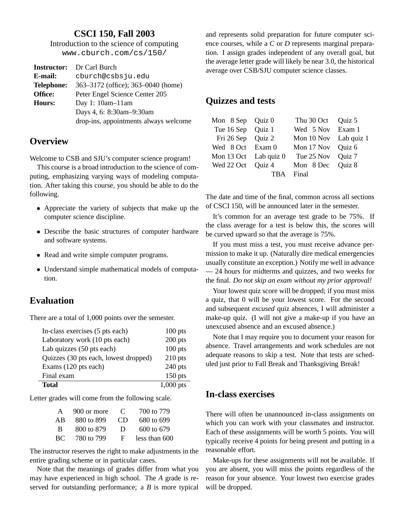#### **CSCI 150, Fall 2003**

Introduction to the science of computing www.cburch.com/cs/150/

|                   | <b>Instructor:</b> Dr Carl Burch      |
|-------------------|---------------------------------------|
| E-mail:           | cburch@csbsju.edu                     |
| <b>Telephone:</b> | 363–3172 (office); 363–0040 (home)    |
| Office:           | Peter Engel Science Center 205        |
| Hours:            | Day 1: $10am-11am$                    |
|                   | Days 4, 6: 8:30am-9:30am              |
|                   | drop-ins, appointments always welcome |
|                   |                                       |

#### **Overview**

Welcome to CSB and SJU's computer science program!

This course is a broad introduction to the science of computing, emphasizing varying ways of modeling computation. After taking this course, you should be able to do the following.

- Appreciate the variety of subjects that make up the computer science discipline.
- Describe the basic structures of computer hardware and software systems.
- Read and write simple computer programs.
- Understand simple mathematical models of computation.

#### **Evaluation**

There are a total of 1,000 points over the semester.

| In-class exercises (5 pts each)       | $100$ pts   |
|---------------------------------------|-------------|
| Laboratory work (10 pts each)         | $200$ pts   |
| Lab quizzes (50 pts each)             | $100$ pts   |
| Quizzes (30 pts each, lowest dropped) | $210$ pts   |
| Exams (120 pts each)                  | $240$ pts   |
| Final exam                            | $150$ pts   |
| <b>Total</b>                          | $1,000$ pts |

Letter grades will come from the following scale.

| $\mathsf{A}$ | 900 or more | $\mathcal{C}$ | 700 to 779    |
|--------------|-------------|---------------|---------------|
| ΑB           | 880 to 899  | CD            | 680 to 699    |
| - B          | 800 to 879  | Ð             | 600 to 679    |
| BC.          | 780 to 799  | F.            | less than 600 |

The instructor reserves the right to make adjustments in the entire grading scheme or in particular cases.

Note that the meanings of grades differ from what you may have experienced in high school. The *A* grade is reserved for outstanding performance; a *B* is more typical

and represents solid preparation for future computer science courses, while a *C* or *D* represents marginal preparation. I assign grades independent of any overall goal, but the average letter grade will likely be near 3.0, the historical average over CSB/SJU computer science classes.

# **Quizzes and tests**

| Thu 30 Oct Quiz 5                                                                                                            |     |
|------------------------------------------------------------------------------------------------------------------------------|-----|
| Wed 5 Nov Exam 1                                                                                                             |     |
| Mon 10 Nov Lab quiz 1                                                                                                        |     |
| Mon 17 Nov Quiz 6                                                                                                            |     |
| Tue 25 Nov Quiz 7                                                                                                            |     |
| Mon 8 Dec Quiz 8                                                                                                             |     |
| Final                                                                                                                        |     |
| Mon 8 Sep Quiz 0<br>Tue 16 Sep Quiz 1<br>Fri 26 Sep Quiz 2<br>Wed 8 Oct Exam 0<br>Mon 13 Oct Lab quiz 0<br>Wed 22 Oct Quiz 4 | TRA |

The date and time of the final, common across all sections of CSCI 150, will be announced later in the semester.

It's common for an average test grade to be 75%. If the class average for a test is below this, the scores will be curved upward so that the average is 75%.

If you must miss a test, you must receive advance permission to make it up. (Naturally dire medical emergencies usually constitute an exception.) Notify me well in advance — 24 hours for midterms and quizzes, and two weeks for the final. *Do not skip an exam without my prior approval!*

Your lowest quiz score will be dropped; if you must miss a quiz, that 0 will be your lowest score. For the second and subsequent *excused* quiz absences, I will administer a make-up quiz. (I will not give a make-up if you have an unexcused absence and an excused absence.)

Note that I may require you to document your reason for absence. Travel arrangements and work schedules are not adequate reasons to skip a test. Note that tests are scheduled just prior to Fall Break and Thanksgiving Break!

## **In-class exercises**

There will often be unannounced in-class assignments on which you can work with your classmates and instructor. Each of these assignments will be worth 5 points. You will typically receive 4 points for being present and putting in a reasonable effort.

Make-ups for these assignments will not be available. If you are absent, you will miss the points regardless of the reason for your absence. Your lowest two exercise grades will be dropped.